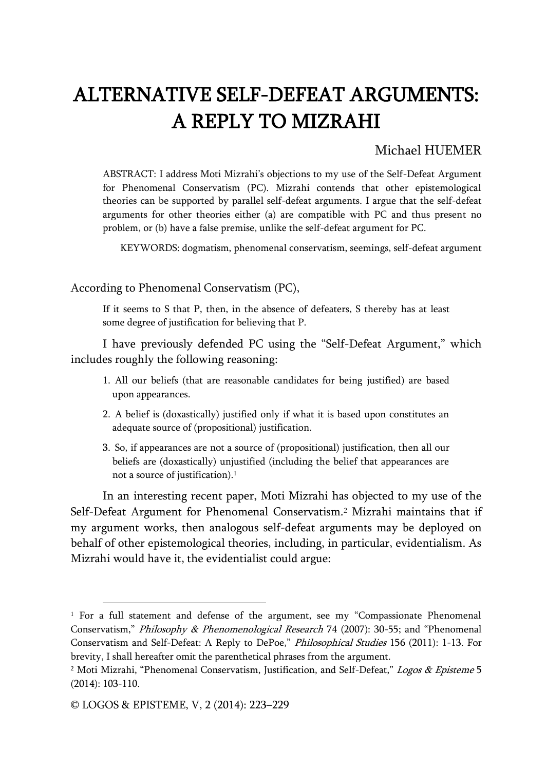# ALTERNATIVE SELF-DEFEAT ARGUMENTS: A REPLY TO MIZRAHI

## Michael HUEMER

ABSTRACT: I address Moti Mizrahi's objections to my use of the Self-Defeat Argument for Phenomenal Conservatism (PC). Mizrahi contends that other epistemological theories can be supported by parallel self-defeat arguments. I argue that the self-defeat arguments for other theories either (a) are compatible with PC and thus present no problem, or (b) have a false premise, unlike the self-defeat argument for PC.

KEYWORDS: dogmatism, phenomenal conservatism, seemings, self-defeat argument

#### According to Phenomenal Conservatism (PC),

If it seems to S that P, then, in the absence of defeaters, S thereby has at least some degree of justification for believing that P.

I have previously defended PC using the "Self-Defeat Argument," which includes roughly the following reasoning:

- 1. All our beliefs (that are reasonable candidates for being justified) are based upon appearances.
- 2. A belief is (doxastically) justified only if what it is based upon constitutes an adequate source of (propositional) justification.
- 3. So, if appearances are not a source of (propositional) justification, then all our beliefs are (doxastically) unjustified (including the belief that appearances are not a source of justification).<sup>1</sup>

In an interesting recent paper, Moti Mizrahi has objected to my use of the Self-Defeat Argument for Phenomenal Conservatism.<sup>2</sup> Mizrahi maintains that if my argument works, then analogous self-defeat arguments may be deployed on behalf of other epistemological theories, including, in particular, evidentialism. As Mizrahi would have it, the evidentialist could argue:

<sup>&</sup>lt;sup>1</sup> For a full statement and defense of the argument, see my "Compassionate Phenomenal Conservatism," Philosophy & Phenomenological Research 74 (2007): 30-55; and "Phenomenal Conservatism and Self-Defeat: A Reply to DePoe," Philosophical Studies 156 (2011): 1-13. For brevity, I shall hereafter omit the parenthetical phrases from the argument.

<sup>&</sup>lt;sup>2</sup> Moti Mizrahi, "Phenomenal Conservatism, Justification, and Self-Defeat," Logos & Episteme 5 (2014): 103-110.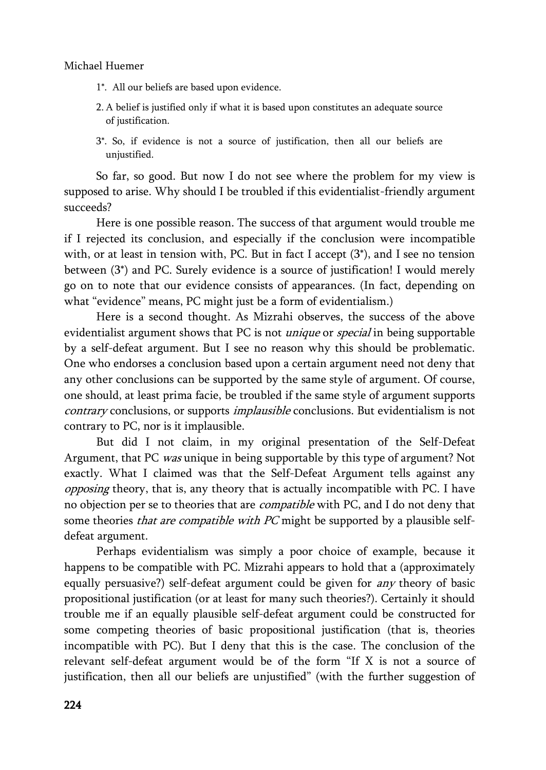### Michael Huemer

- 1\*. All our beliefs are based upon evidence.
- 2. A belief is justified only if what it is based upon constitutes an adequate source of justification.
- 3\*. So, if evidence is not a source of justification, then all our beliefs are unjustified.

So far, so good. But now I do not see where the problem for my view is supposed to arise. Why should I be troubled if this evidentialist-friendly argument succeeds?

Here is one possible reason. The success of that argument would trouble me if I rejected its conclusion, and especially if the conclusion were incompatible with, or at least in tension with, PC. But in fact I accept (3\*), and I see no tension between (3\*) and PC. Surely evidence is a source of justification! I would merely go on to note that our evidence consists of appearances. (In fact, depending on what "evidence" means, PC might just be a form of evidentialism.)

Here is a second thought. As Mizrahi observes, the success of the above evidentialist argument shows that PC is not *unique* or *special* in being supportable by a self-defeat argument. But I see no reason why this should be problematic. One who endorses a conclusion based upon a certain argument need not deny that any other conclusions can be supported by the same style of argument. Of course, one should, at least prima facie, be troubled if the same style of argument supports contrary conclusions, or supports *implausible* conclusions. But evidentialism is not contrary to PC, nor is it implausible.

But did I not claim, in my original presentation of the Self-Defeat Argument, that PC was unique in being supportable by this type of argument? Not exactly. What I claimed was that the Self-Defeat Argument tells against any opposing theory, that is, any theory that is actually incompatible with PC. I have no objection per se to theories that are *compatible* with PC, and I do not deny that some theories that are compatible with PC might be supported by a plausible selfdefeat argument.

Perhaps evidentialism was simply a poor choice of example, because it happens to be compatible with PC. Mizrahi appears to hold that a (approximately equally persuasive?) self-defeat argument could be given for *any* theory of basic propositional justification (or at least for many such theories?). Certainly it should trouble me if an equally plausible self-defeat argument could be constructed for some competing theories of basic propositional justification (that is, theories incompatible with PC). But I deny that this is the case. The conclusion of the relevant self-defeat argument would be of the form "If X is not a source of justification, then all our beliefs are unjustified" (with the further suggestion of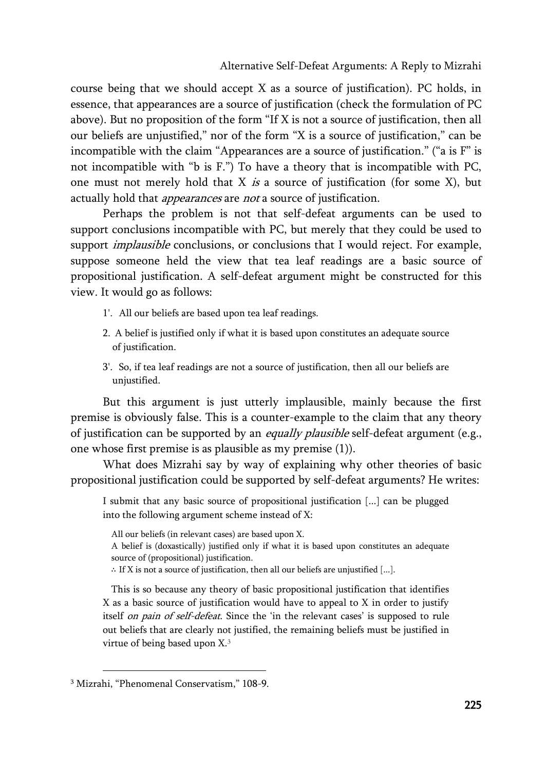course being that we should accept X as a source of justification). PC holds, in essence, that appearances are a source of justification (check the formulation of PC above). But no proposition of the form "If X is not a source of justification, then all our beliefs are unjustified," nor of the form "X is a source of justification," can be incompatible with the claim "Appearances are a source of justification." ("a is F" is not incompatible with "b is F.") To have a theory that is incompatible with PC, one must not merely hold that  $X$  is a source of justification (for some  $X$ ), but actually hold that *appearances* are *not* a source of justification.

Perhaps the problem is not that self-defeat arguments can be used to support conclusions incompatible with PC, but merely that they could be used to support *implausible* conclusions, or conclusions that I would reject. For example, suppose someone held the view that tea leaf readings are a basic source of propositional justification. A self-defeat argument might be constructed for this view. It would go as follows:

- 1'. All our beliefs are based upon tea leaf readings.
- 2. A belief is justified only if what it is based upon constitutes an adequate source of justification.
- 3'. So, if tea leaf readings are not a source of justification, then all our beliefs are unjustified.

But this argument is just utterly implausible, mainly because the first premise is obviously false. This is a counter-example to the claim that any theory of justification can be supported by an equally plausible self-defeat argument (e.g., one whose first premise is as plausible as my premise (1)).

What does Mizrahi say by way of explaining why other theories of basic propositional justification could be supported by self-defeat arguments? He writes:

I submit that any basic source of propositional justification [...] can be plugged into the following argument scheme instead of X:

All our beliefs (in relevant cases) are based upon X.

A belief is (doxastically) justified only if what it is based upon constitutes an adequate source of (propositional) justification.

∴ If X is not a source of justification, then all our beliefs are unjustified [...].

This is so because any theory of basic propositional justification that identifies X as a basic source of justification would have to appeal to X in order to justify itself on pain of self-defeat. Since the 'in the relevant cases' is supposed to rule out beliefs that are clearly not justified, the remaining beliefs must be justified in virtue of being based upon X.<sup>3</sup>

<sup>3</sup> Mizrahi, "Phenomenal Conservatism," 108-9.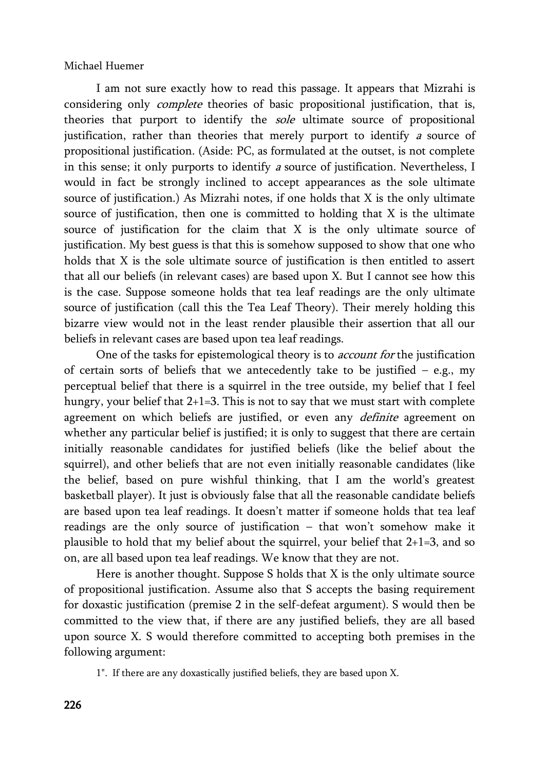### Michael Huemer

I am not sure exactly how to read this passage. It appears that Mizrahi is considering only complete theories of basic propositional justification, that is, theories that purport to identify the sole ultimate source of propositional justification, rather than theories that merely purport to identify a source of propositional justification. (Aside: PC, as formulated at the outset, is not complete in this sense; it only purports to identify <sup>a</sup> source of justification. Nevertheless, I would in fact be strongly inclined to accept appearances as the sole ultimate source of justification.) As Mizrahi notes, if one holds that X is the only ultimate source of justification, then one is committed to holding that X is the ultimate source of justification for the claim that  $X$  is the only ultimate source of justification. My best guess is that this is somehow supposed to show that one who holds that X is the sole ultimate source of justification is then entitled to assert that all our beliefs (in relevant cases) are based upon X. But I cannot see how this is the case. Suppose someone holds that tea leaf readings are the only ultimate source of justification (call this the Tea Leaf Theory). Their merely holding this bizarre view would not in the least render plausible their assertion that all our beliefs in relevant cases are based upon tea leaf readings.

One of the tasks for epistemological theory is to *account for* the justification of certain sorts of beliefs that we antecedently take to be justified  $-$  e.g., my perceptual belief that there is a squirrel in the tree outside, my belief that I feel hungry, your belief that 2+1=3. This is not to say that we must start with complete agreement on which beliefs are justified, or even any *definite* agreement on whether any particular belief is justified; it is only to suggest that there are certain initially reasonable candidates for justified beliefs (like the belief about the squirrel), and other beliefs that are not even initially reasonable candidates (like the belief, based on pure wishful thinking, that I am the world's greatest basketball player). It just is obviously false that all the reasonable candidate beliefs are based upon tea leaf readings. It doesn't matter if someone holds that tea leaf readings are the only source of justification – that won't somehow make it plausible to hold that my belief about the squirrel, your belief that 2+1=3, and so on, are all based upon tea leaf readings. We know that they are not.

Here is another thought. Suppose S holds that X is the only ultimate source of propositional justification. Assume also that S accepts the basing requirement for doxastic justification (premise 2 in the self-defeat argument). S would then be committed to the view that, if there are any justified beliefs, they are all based upon source X. S would therefore committed to accepting both premises in the following argument:

1". If there are any doxastically justified beliefs, they are based upon X.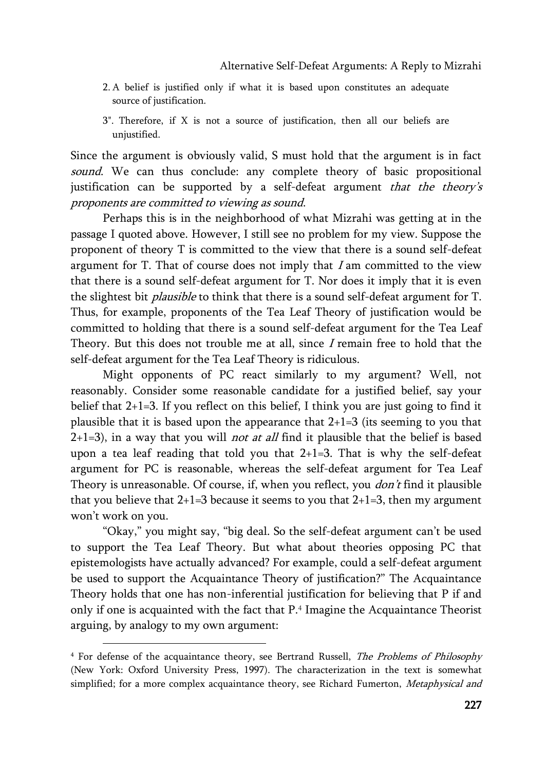- 2. A belief is justified only if what it is based upon constitutes an adequate source of justification.
- 3". Therefore, if X is not a source of justification, then all our beliefs are unjustified.

Since the argument is obviously valid, S must hold that the argument is in fact sound. We can thus conclude: any complete theory of basic propositional justification can be supported by a self-defeat argument that the theory's proponents are committed to viewing as sound.

Perhaps this is in the neighborhood of what Mizrahi was getting at in the passage I quoted above. However, I still see no problem for my view. Suppose the proponent of theory T is committed to the view that there is a sound self-defeat argument for T. That of course does not imply that  $I$  am committed to the view that there is a sound self-defeat argument for T. Nor does it imply that it is even the slightest bit *plausible* to think that there is a sound self-defeat argument for T. Thus, for example, proponents of the Tea Leaf Theory of justification would be committed to holding that there is a sound self-defeat argument for the Tea Leaf Theory. But this does not trouble me at all, since  $I$  remain free to hold that the self-defeat argument for the Tea Leaf Theory is ridiculous.

Might opponents of PC react similarly to my argument? Well, not reasonably. Consider some reasonable candidate for a justified belief, say your belief that  $2+1=3$ . If you reflect on this belief, I think you are just going to find it plausible that it is based upon the appearance that  $2+1=3$  (its seeming to you that  $2+1=3$ ), in a way that you will *not at all* find it plausible that the belief is based upon a tea leaf reading that told you that 2+1=3. That is why the self-defeat argument for PC is reasonable, whereas the self-defeat argument for Tea Leaf Theory is unreasonable. Of course, if, when you reflect, you *don't* find it plausible that you believe that  $2+1=3$  because it seems to you that  $2+1=3$ , then my argument won't work on you.

"Okay," you might say, "big deal. So the self-defeat argument can't be used to support the Tea Leaf Theory. But what about theories opposing PC that epistemologists have actually advanced? For example, could a self-defeat argument be used to support the Acquaintance Theory of justification?" The Acquaintance Theory holds that one has non-inferential justification for believing that P if and only if one is acquainted with the fact that P.<sup>4</sup> Imagine the Acquaintance Theorist arguing, by analogy to my own argument:

<sup>4</sup> For defense of the acquaintance theory, see Bertrand Russell, The Problems of Philosophy (New York: Oxford University Press, 1997). The characterization in the text is somewhat simplified; for a more complex acquaintance theory, see Richard Fumerton, Metaphysical and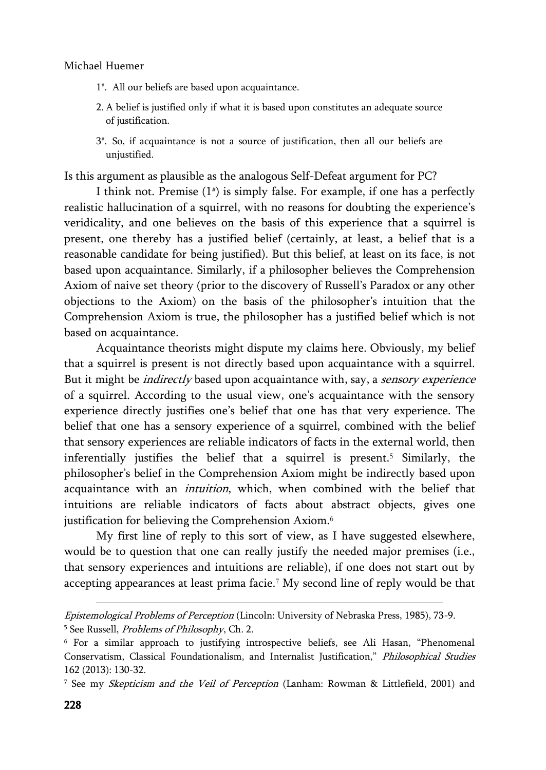### Michael Huemer

- 1 # . All our beliefs are based upon acquaintance.
- 2. A belief is justified only if what it is based upon constitutes an adequate source of justification.
- 3 # . So, if acquaintance is not a source of justification, then all our beliefs are unjustified.

Is this argument as plausible as the analogous Self-Defeat argument for PC?

I think not. Premise (1# ) is simply false. For example, if one has a perfectly realistic hallucination of a squirrel, with no reasons for doubting the experience's veridicality, and one believes on the basis of this experience that a squirrel is present, one thereby has a justified belief (certainly, at least, a belief that is a reasonable candidate for being justified). But this belief, at least on its face, is not based upon acquaintance. Similarly, if a philosopher believes the Comprehension Axiom of naive set theory (prior to the discovery of Russell's Paradox or any other objections to the Axiom) on the basis of the philosopher's intuition that the Comprehension Axiom is true, the philosopher has a justified belief which is not based on acquaintance.

Acquaintance theorists might dispute my claims here. Obviously, my belief that a squirrel is present is not directly based upon acquaintance with a squirrel. But it might be *indirectly* based upon acquaintance with, say, a *sensory experience* of a squirrel. According to the usual view, one's acquaintance with the sensory experience directly justifies one's belief that one has that very experience. The belief that one has a sensory experience of a squirrel, combined with the belief that sensory experiences are reliable indicators of facts in the external world, then inferentially justifies the belief that a squirrel is present.<sup>5</sup> Similarly, the philosopher's belief in the Comprehension Axiom might be indirectly based upon acquaintance with an intuition, which, when combined with the belief that intuitions are reliable indicators of facts about abstract objects, gives one justification for believing the Comprehension Axiom.<sup>6</sup>

My first line of reply to this sort of view, as I have suggested elsewhere, would be to question that one can really justify the needed major premises (i.e., that sensory experiences and intuitions are reliable), if one does not start out by accepting appearances at least prima facie.<sup>7</sup> My second line of reply would be that

Epistemological Problems of Perception (Lincoln: University of Nebraska Press, 1985), 73-9. <sup>5</sup> See Russell, *Problems of Philosophy*, Ch. 2.

<sup>6</sup> For a similar approach to justifying introspective beliefs, see Ali Hasan, "Phenomenal Conservatism, Classical Foundationalism, and Internalist Justification," Philosophical Studies 162 (2013): 130-32.

<sup>7</sup> See my Skepticism and the Veil of Perception (Lanham: Rowman & Littlefield, 2001) and